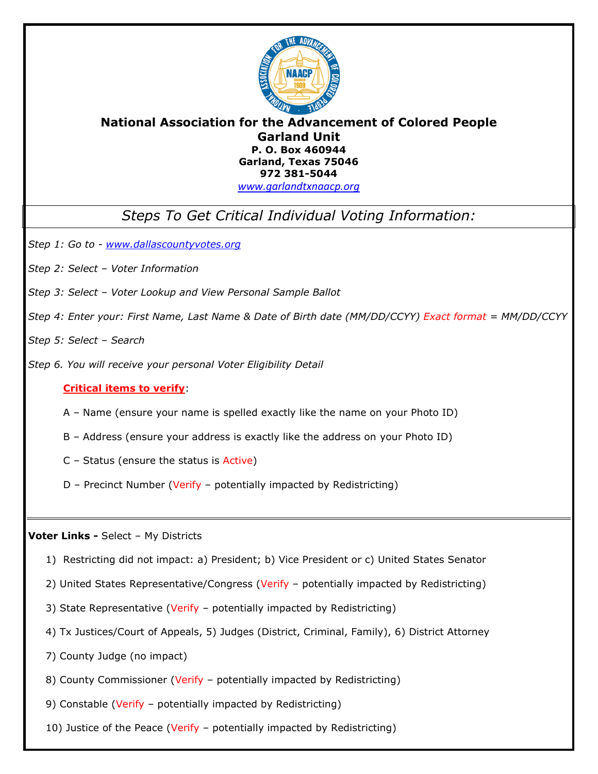

### **National Association for the Advancement of Colored People Garland Unit P. O. Box 460944 Garland, Texas 75046 972 381-5044**

*[www.garlandtxnaacp.org](http://www.garlandtxnaacp.org/)*

*Steps To Get Critical Individual Voting Information:*

*Step 1: Go to - [www.dallascountyvotes.org](http://www.dallascountyvotes.org/)*

- *Step 2: Select – Voter Information*
- *Step 3: Select – Voter Lookup and View Personal Sample Ballot*
- *Step 4: Enter your: First Name, Last Name & Date of Birth date (MM/DD/CCYY) Exact format = MM/DD/CCYY*

*Step 5: Select – Search* 

*Step 6. You will receive your personal Voter Eligibility Detail*

#### **Critical items to verify**:

A – Name (ensure your name is spelled exactly like the name on your Photo ID)

B – Address (ensure your address is exactly like the address on your Photo ID)

C – Status (ensure the status is Active)

D – Precinct Number (Verify – potentially impacted by Redistricting)

**Voter Links -** Select – My Districts

- 1) Restricting did not impact: a) President; b) Vice President or c) United States Senator
- 2) United States Representative/Congress (Verify potentially impacted by Redistricting)
- 3) State Representative (Verify potentially impacted by Redistricting)
- 4) Tx Justices/Court of Appeals, 5) Judges (District, Criminal, Family), 6) District Attorney
- 7) County Judge (no impact)
- 8) County Commissioner (Verify potentially impacted by Redistricting)
- 9) Constable (Verify potentially impacted by Redistricting)
- 10) Justice of the Peace (Verify potentially impacted by Redistricting)